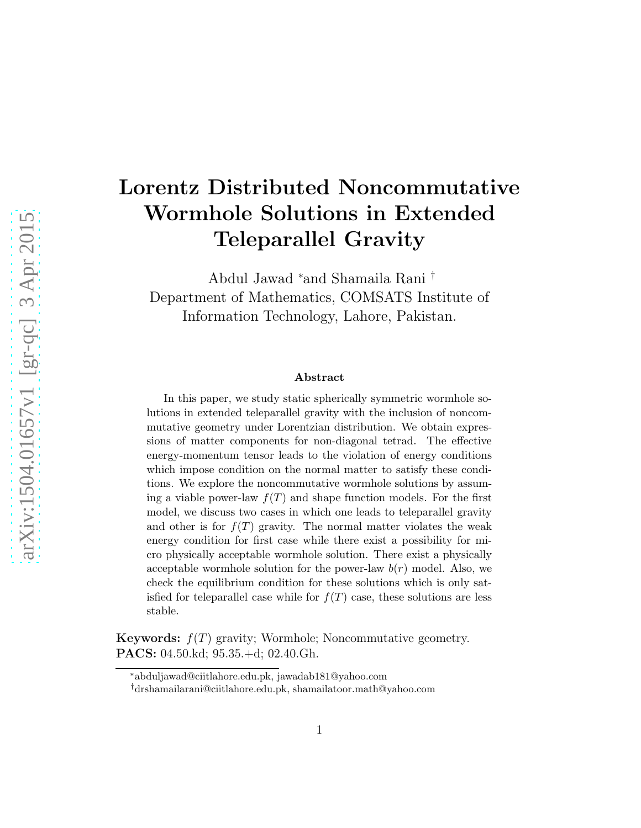# Lorentz Distributed Noncommutative Wormhole Solutions in Extended Teleparallel Gravity

Abdul Jawad <sup>∗</sup>and Shamaila Rani † Department of Mathematics, COMSATS Institute of Information Technology, Lahore, Pakistan.

#### Abstract

In this paper, we study static spherically symmetric wormhole solutions in extended teleparallel gravity with the inclusion of noncommutative geometry under Lorentzian distribution. We obtain expressions of matter components for non-diagonal tetrad. The effective energy-momentum tensor leads to the violation of energy conditions which impose condition on the normal matter to satisfy these conditions. We explore the noncommutative wormhole solutions by assuming a viable power-law  $f(T)$  and shape function models. For the first model, we discuss two cases in which one leads to teleparallel gravity and other is for  $f(T)$  gravity. The normal matter violates the weak energy condition for first case while there exist a possibility for micro physically acceptable wormhole solution. There exist a physically acceptable wormhole solution for the power-law  $b(r)$  model. Also, we check the equilibrium condition for these solutions which is only satisfied for teleparallel case while for  $f(T)$  case, these solutions are less stable.

**Keywords:**  $f(T)$  gravity; Wormhole; Noncommutative geometry. PACS: 04.50.kd; 95.35.+d; 02.40.Gh.

<sup>∗</sup>abduljawad@ciitlahore.edu.pk, jawadab181@yahoo.com

<sup>†</sup>drshamailarani@ciitlahore.edu.pk, shamailatoor.math@yahoo.com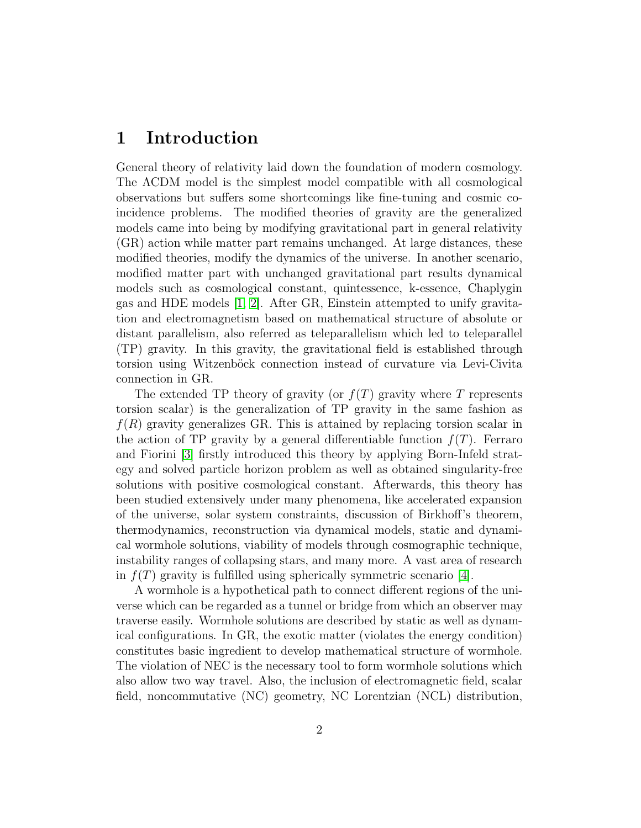### 1 Introduction

General theory of relativity laid down the foundation of modern cosmology. The  $\Lambda$ CDM model is the simplest model compatible with all cosmological observations but suffers some shortcomings like fine-tuning and cosmic coincidence problems. The modified theories of gravity are the generalized models came into being by modifying gravitational part in general relativity (GR) action while matter part remains unchanged. At large distances, these modified theories, modify the dynamics of the universe. In another scenario, modified matter part with unchanged gravitational part results dynamical models such as cosmological constant, quintessence, k-essence, Chaplygin gas and HDE models [\[1,](#page-22-0) [2\]](#page-22-1). After GR, Einstein attempted to unify gravitation and electromagnetism based on mathematical structure of absolute or distant parallelism, also referred as teleparallelism which led to teleparallel (TP) gravity. In this gravity, the gravitational field is established through torsion using Witzenböck connection instead of curvature via Levi-Civita connection in GR.

The extended TP theory of gravity (or  $f(T)$  gravity where T represents torsion scalar) is the generalization of TP gravity in the same fashion as  $f(R)$  gravity generalizes GR. This is attained by replacing torsion scalar in the action of TP gravity by a general differentiable function  $f(T)$ . Ferraro and Fiorini [\[3\]](#page-22-2) firstly introduced this theory by applying Born-Infeld strategy and solved particle horizon problem as well as obtained singularity-free solutions with positive cosmological constant. Afterwards, this theory has been studied extensively under many phenomena, like accelerated expansion of the universe, solar system constraints, discussion of Birkhoff's theorem, thermodynamics, reconstruction via dynamical models, static and dynamical wormhole solutions, viability of models through cosmographic technique, instability ranges of collapsing stars, and many more. A vast area of research in  $f(T)$  gravity is fulfilled using spherically symmetric scenario [\[4\]](#page-22-3).

A wormhole is a hypothetical path to connect different regions of the universe which can be regarded as a tunnel or bridge from which an observer may traverse easily. Wormhole solutions are described by static as well as dynamical configurations. In GR, the exotic matter (violates the energy condition) constitutes basic ingredient to develop mathematical structure of wormhole. The violation of NEC is the necessary tool to form wormhole solutions which also allow two way travel. Also, the inclusion of electromagnetic field, scalar field, noncommutative (NC) geometry, NC Lorentzian (NCL) distribution,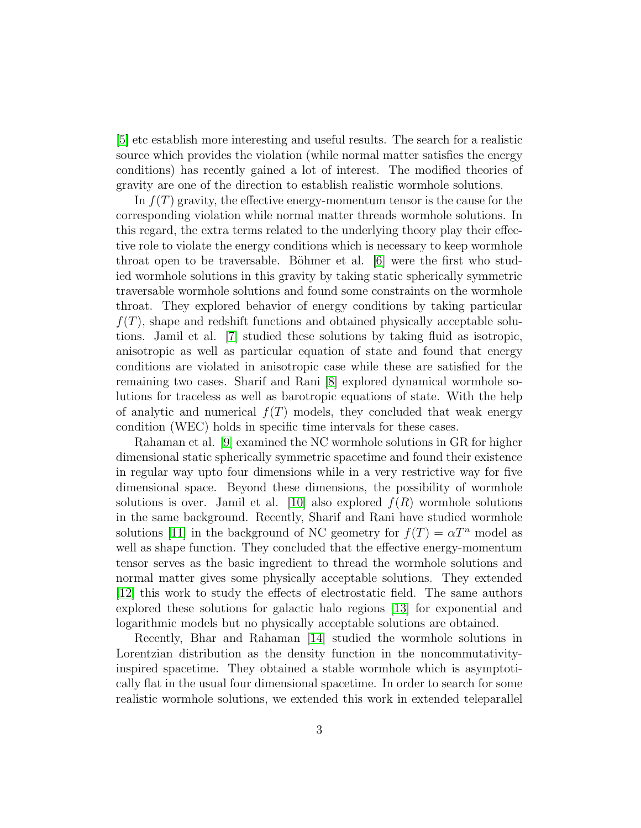[\[5\]](#page-23-0) etc establish more interesting and useful results. The search for a realistic source which provides the violation (while normal matter satisfies the energy conditions) has recently gained a lot of interest. The modified theories of gravity are one of the direction to establish realistic wormhole solutions.

In  $f(T)$  gravity, the effective energy-momentum tensor is the cause for the corresponding violation while normal matter threads wormhole solutions. In this regard, the extra terms related to the underlying theory play their effective role to violate the energy conditions which is necessary to keep wormhole throat open to be traversable. Böhmer et al.  $[6]$  were the first who studied wormhole solutions in this gravity by taking static spherically symmetric traversable wormhole solutions and found some constraints on the wormhole throat. They explored behavior of energy conditions by taking particular  $f(T)$ , shape and redshift functions and obtained physically acceptable solutions. Jamil et al. [\[7\]](#page-23-2) studied these solutions by taking fluid as isotropic, anisotropic as well as particular equation of state and found that energy conditions are violated in anisotropic case while these are satisfied for the remaining two cases. Sharif and Rani [\[8\]](#page-23-3) explored dynamical wormhole solutions for traceless as well as barotropic equations of state. With the help of analytic and numerical  $f(T)$  models, they concluded that weak energy condition (WEC) holds in specific time intervals for these cases.

Rahaman et al. [\[9\]](#page-23-4) examined the NC wormhole solutions in GR for higher dimensional static spherically symmetric spacetime and found their existence in regular way upto four dimensions while in a very restrictive way for five dimensional space. Beyond these dimensions, the possibility of wormhole solutions is over. Jamil et al. [\[10\]](#page-23-5) also explored  $f(R)$  wormhole solutions in the same background. Recently, Sharif and Rani have studied wormhole solutions [\[11\]](#page-23-6) in the background of NC geometry for  $f(T) = \alpha T^n$  model as well as shape function. They concluded that the effective energy-momentum tensor serves as the basic ingredient to thread the wormhole solutions and normal matter gives some physically acceptable solutions. They extended [\[12\]](#page-23-7) this work to study the effects of electrostatic field. The same authors explored these solutions for galactic halo regions [\[13\]](#page-23-8) for exponential and logarithmic models but no physically acceptable solutions are obtained.

Recently, Bhar and Rahaman [\[14\]](#page-23-9) studied the wormhole solutions in Lorentzian distribution as the density function in the noncommutativityinspired spacetime. They obtained a stable wormhole which is asymptotically flat in the usual four dimensional spacetime. In order to search for some realistic wormhole solutions, we extended this work in extended teleparallel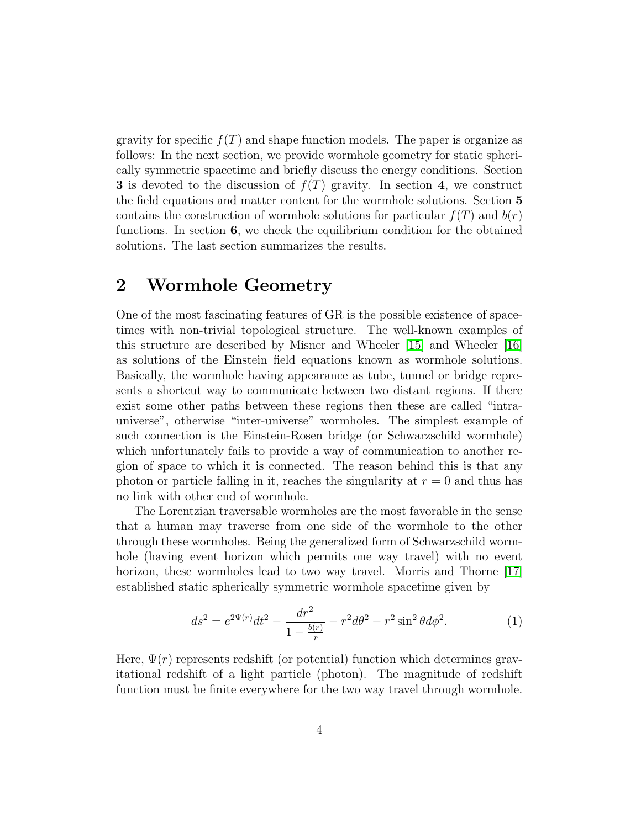gravity for specific  $f(T)$  and shape function models. The paper is organize as follows: In the next section, we provide wormhole geometry for static spherically symmetric spacetime and briefly discuss the energy conditions. Section 3 is devoted to the discussion of  $f(T)$  gravity. In section 4, we construct the field equations and matter content for the wormhole solutions. Section 5 contains the construction of wormhole solutions for particular  $f(T)$  and  $b(r)$ functions. In section 6, we check the equilibrium condition for the obtained solutions. The last section summarizes the results.

### 2 Wormhole Geometry

One of the most fascinating features of GR is the possible existence of spacetimes with non-trivial topological structure. The well-known examples of this structure are described by Misner and Wheeler [\[15\]](#page-23-10) and Wheeler [\[16\]](#page-23-11) as solutions of the Einstein field equations known as wormhole solutions. Basically, the wormhole having appearance as tube, tunnel or bridge represents a shortcut way to communicate between two distant regions. If there exist some other paths between these regions then these are called "intrauniverse", otherwise "inter-universe" wormholes. The simplest example of such connection is the Einstein-Rosen bridge (or Schwarzschild wormhole) which unfortunately fails to provide a way of communication to another region of space to which it is connected. The reason behind this is that any photon or particle falling in it, reaches the singularity at  $r = 0$  and thus has no link with other end of wormhole.

The Lorentzian traversable wormholes are the most favorable in the sense that a human may traverse from one side of the wormhole to the other through these wormholes. Being the generalized form of Schwarzschild wormhole (having event horizon which permits one way travel) with no event horizon, these wormholes lead to two way travel. Morris and Thorne [\[17\]](#page-23-12) established static spherically symmetric wormhole spacetime given by

<span id="page-3-0"></span>
$$
ds^{2} = e^{2\Psi(r)}dt^{2} - \frac{dr^{2}}{1 - \frac{b(r)}{r}} - r^{2}d\theta^{2} - r^{2}\sin^{2}\theta d\phi^{2}.
$$
 (1)

Here,  $\Psi(r)$  represents redshift (or potential) function which determines gravitational redshift of a light particle (photon). The magnitude of redshift function must be finite everywhere for the two way travel through wormhole.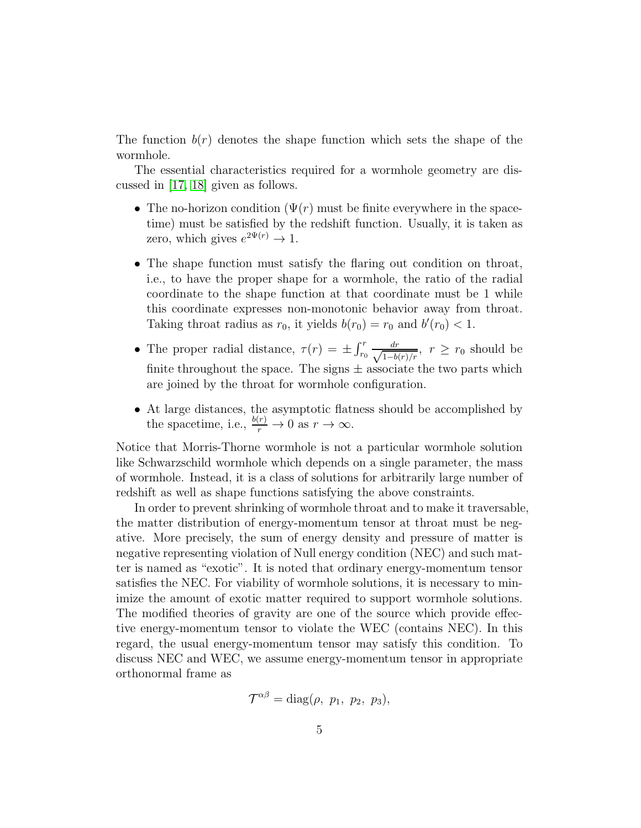The function  $b(r)$  denotes the shape function which sets the shape of the wormhole.

The essential characteristics required for a wormhole geometry are discussed in [\[17,](#page-23-12) [18\]](#page-24-0) given as follows.

- The no-horizon condition  $(\Psi(r))$  must be finite everywhere in the spacetime) must be satisfied by the redshift function. Usually, it is taken as zero, which gives  $e^{2\Psi(r)} \to 1$ .
- The shape function must satisfy the flaring out condition on throat, i.e., to have the proper shape for a wormhole, the ratio of the radial coordinate to the shape function at that coordinate must be 1 while this coordinate expresses non-monotonic behavior away from throat. Taking throat radius as  $r_0$ , it yields  $b(r_0) = r_0$  and  $b'(r_0) < 1$ .
- The proper radial distance,  $\tau(r) = \pm \int_{r_0}^r \frac{dr}{\sqrt{1-br}}$  $\frac{dr}{1-b(r)/r}$ ,  $r \geq r_0$  should be finite throughout the space. The signs  $\pm$  associate the two parts which are joined by the throat for wormhole configuration.
- At large distances, the asymptotic flatness should be accomplished by the spacetime, i.e.,  $\frac{b(r)}{r} \to 0$  as  $r \to \infty$ .

Notice that Morris-Thorne wormhole is not a particular wormhole solution like Schwarzschild wormhole which depends on a single parameter, the mass of wormhole. Instead, it is a class of solutions for arbitrarily large number of redshift as well as shape functions satisfying the above constraints.

In order to prevent shrinking of wormhole throat and to make it traversable, the matter distribution of energy-momentum tensor at throat must be negative. More precisely, the sum of energy density and pressure of matter is negative representing violation of Null energy condition (NEC) and such matter is named as "exotic". It is noted that ordinary energy-momentum tensor satisfies the NEC. For viability of wormhole solutions, it is necessary to minimize the amount of exotic matter required to support wormhole solutions. The modified theories of gravity are one of the source which provide effective energy-momentum tensor to violate the WEC (contains NEC). In this regard, the usual energy-momentum tensor may satisfy this condition. To discuss NEC and WEC, we assume energy-momentum tensor in appropriate orthonormal frame as

$$
\mathcal{T}^{\alpha\beta}=\text{diag}(\rho, p_1, p_2, p_3),
$$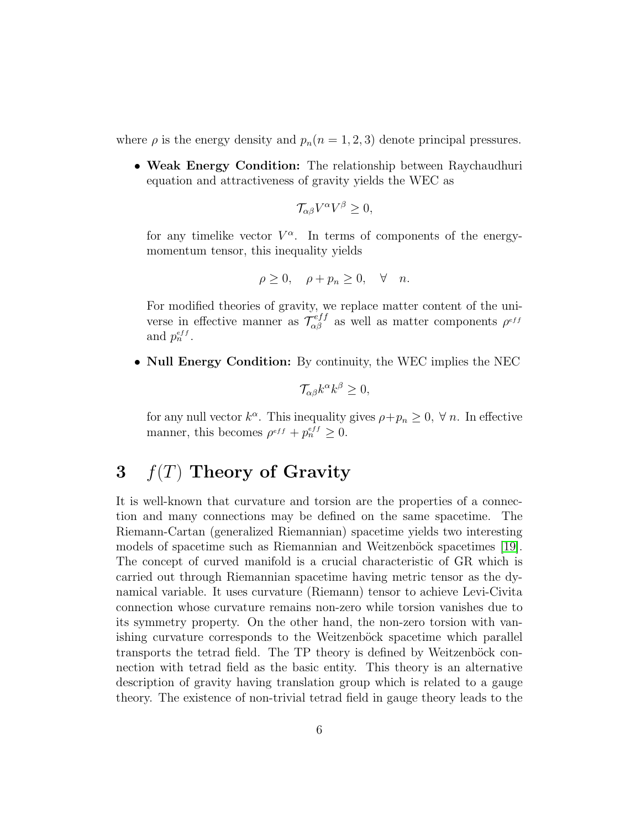where  $\rho$  is the energy density and  $p_n(n = 1, 2, 3)$  denote principal pressures.

• Weak Energy Condition: The relationship between Raychaudhuri equation and attractiveness of gravity yields the WEC as

$$
\mathcal{T}_{\alpha\beta}V^{\alpha}V^{\beta}\geq 0,
$$

for any timelike vector  $V^{\alpha}$ . In terms of components of the energymomentum tensor, this inequality yields

$$
\rho \ge 0, \quad \rho + p_n \ge 0, \quad \forall \quad n.
$$

For modified theories of gravity, we replace matter content of the universe in effective manner as  $\mathcal{T}_{\alpha\beta}^{eff}$  as well as matter components  $\rho^{eff}$ and  $p_n^{eff}$ .

• Null Energy Condition: By continuity, the WEC implies the NEC

$$
\mathcal{T}_{\alpha\beta}k^{\alpha}k^{\beta}\geq 0,
$$

for any null vector  $k^{\alpha}$ . This inequality gives  $\rho + p_n \geq 0$ ,  $\forall n$ . In effective manner, this becomes  $\rho^{eff} + p_n^{eff} \geq 0$ .

### 3  $f(T)$  Theory of Gravity

It is well-known that curvature and torsion are the properties of a connection and many connections may be defined on the same spacetime. The Riemann-Cartan (generalized Riemannian) spacetime yields two interesting models of spacetime such as Riemannian and Weitzenböck spacetimes [\[19\]](#page-24-1). The concept of curved manifold is a crucial characteristic of GR which is carried out through Riemannian spacetime having metric tensor as the dynamical variable. It uses curvature (Riemann) tensor to achieve Levi-Civita connection whose curvature remains non-zero while torsion vanishes due to its symmetry property. On the other hand, the non-zero torsion with vanishing curvature corresponds to the Weitzenböck spacetime which parallel transports the tetrad field. The TP theory is defined by Weitzenböck connection with tetrad field as the basic entity. This theory is an alternative description of gravity having translation group which is related to a gauge theory. The existence of non-trivial tetrad field in gauge theory leads to the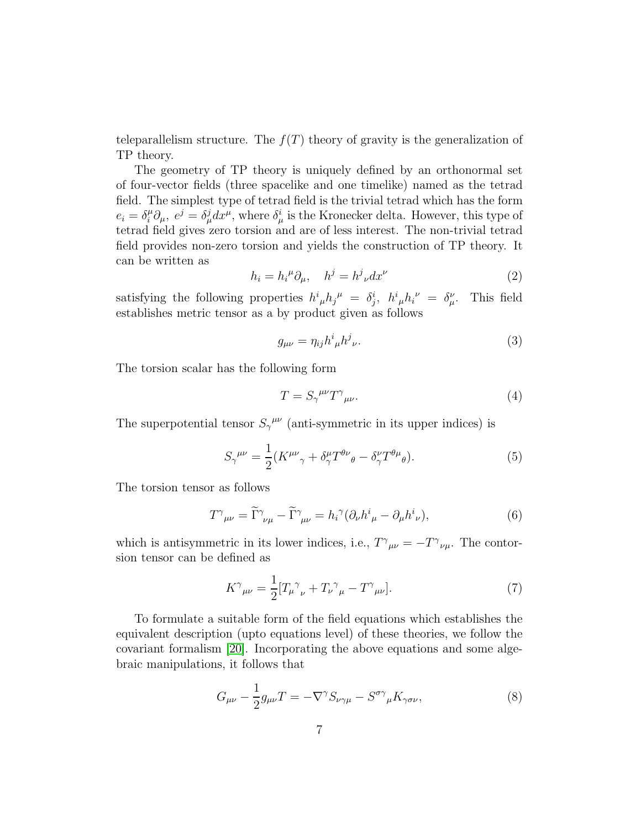teleparallelism structure. The  $f(T)$  theory of gravity is the generalization of TP theory.

The geometry of TP theory is uniquely defined by an orthonormal set of four-vector fields (three spacelike and one timelike) named as the tetrad field. The simplest type of tetrad field is the trivial tetrad which has the form  $e_i = \delta_i^{\mu} \partial_{\mu}, e^j = \delta_{\mu}^j dx^{\mu}$ , where  $\delta_{\mu}^i$  is the Kronecker delta. However, this type of tetrad field gives zero torsion and are of less interest. The non-trivial tetrad field provides non-zero torsion and yields the construction of TP theory. It can be written as

$$
h_i = h_i^{\mu} \partial_{\mu}, \quad h^j = h^j_{\ \nu} dx^{\nu}
$$
 (2)

satisfying the following properties  $h^i_{\mu}h_j^{\mu} = \delta^i_j$ ,  $h^i_{\mu}h_i^{\nu} = \delta^{\nu}_{\mu}$ . This field establishes metric tensor as a by product given as follows

$$
g_{\mu\nu} = \eta_{ij} h^i{}_\mu h^j{}_\nu. \tag{3}
$$

The torsion scalar has the following form

$$
T = S_{\gamma}^{\ \mu\nu} T^{\gamma}{}_{\mu\nu}.\tag{4}
$$

The superpotential tensor  $S_{\gamma}^{\mu\nu}$  (anti-symmetric in its upper indices) is

$$
S_{\gamma}^{\ \mu\nu} = \frac{1}{2} (K^{\mu\nu}{}_{\gamma} + \delta^{\mu}_{\gamma} T^{\theta\nu}{}_{\theta} - \delta^{\nu}_{\gamma} T^{\theta\mu}{}_{\theta}). \tag{5}
$$

The torsion tensor as follows

$$
T^{\gamma}{}_{\mu\nu} = \tilde{\Gamma}^{\gamma}{}_{\nu\mu} - \tilde{\Gamma}^{\gamma}{}_{\mu\nu} = h_i^{\gamma} (\partial_{\nu} h^i{}_{\mu} - \partial_{\mu} h^i{}_{\nu}), \tag{6}
$$

which is antisymmetric in its lower indices, i.e.,  $T^{\gamma}{}_{\mu\nu} = -T^{\gamma}{}_{\nu\mu}$ . The contorsion tensor can be defined as

$$
K^{\gamma}{}_{\mu\nu} = \frac{1}{2} [T_{\mu}{}^{\gamma}{}_{\nu} + T_{\nu}{}^{\gamma}{}_{\mu} - T^{\gamma}{}_{\mu\nu}]. \tag{7}
$$

To formulate a suitable form of the field equations which establishes the equivalent description (upto equations level) of these theories, we follow the covariant formalism [\[20\]](#page-24-2). Incorporating the above equations and some algebraic manipulations, it follows that

$$
G_{\mu\nu} - \frac{1}{2}g_{\mu\nu}T = -\nabla^{\gamma}S_{\nu\gamma\mu} - S^{\sigma\gamma}{}_{\mu}K_{\gamma\sigma\nu},\tag{8}
$$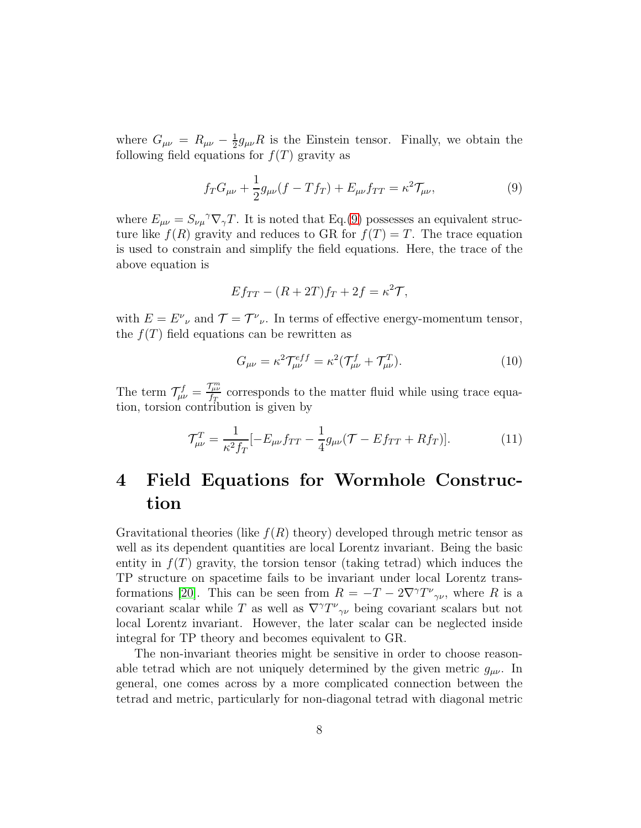where  $G_{\mu\nu} = R_{\mu\nu} - \frac{1}{2}$  $\frac{1}{2}g_{\mu\nu}R$  is the Einstein tensor. Finally, we obtain the following field equations for  $f(T)$  gravity as

<span id="page-7-0"></span>
$$
f_T G_{\mu\nu} + \frac{1}{2} g_{\mu\nu} (f - Tf_T) + E_{\mu\nu} f_{TT} = \kappa^2 \mathcal{T}_{\mu\nu}, \tag{9}
$$

where  $E_{\mu\nu} = S_{\nu\mu}^{\,\,\gamma} \nabla_{\gamma} T$ . It is noted that Eq.[\(9\)](#page-7-0) possesses an equivalent structure like  $f(R)$  gravity and reduces to GR for  $f(T) = T$ . The trace equation is used to constrain and simplify the field equations. Here, the trace of the above equation is

$$
E f_{TT} - (R + 2T)f_T + 2f = \kappa^2 \mathcal{T},
$$

with  $E = E^{\nu}{}_{\nu}$  and  $\mathcal{T} = \mathcal{T}^{\nu}{}_{\nu}$ . In terms of effective energy-momentum tensor, the  $f(T)$  field equations can be rewritten as

$$
G_{\mu\nu} = \kappa^2 \mathcal{T}^{eff}_{\mu\nu} = \kappa^2 (\mathcal{T}^f_{\mu\nu} + \mathcal{T}^T_{\mu\nu}).
$$
\n(10)

The term  $\mathcal{T}^f_{\mu\nu} = \frac{\mathcal{T}^m_{\mu\nu}}{f_T}$  $\frac{f_{\mu\nu}}{f_T}$  corresponds to the matter fluid while using trace equation, torsion contribution is given by

$$
\mathcal{T}^{T}_{\mu\nu} = \frac{1}{\kappa^2 f_T} [-E_{\mu\nu} f_{TT} - \frac{1}{4} g_{\mu\nu} (\mathcal{T} - E f_{TT} + R f_T)]. \tag{11}
$$

## 4 Field Equations for Wormhole Construction

Gravitational theories (like  $f(R)$  theory) developed through metric tensor as well as its dependent quantities are local Lorentz invariant. Being the basic entity in  $f(T)$  gravity, the torsion tensor (taking tetrad) which induces the TP structure on spacetime fails to be invariant under local Lorentz trans-formations [\[20\]](#page-24-2). This can be seen from  $R = -T - 2\nabla^{\gamma}T^{\nu}{}_{\gamma\nu}$ , where R is a covariant scalar while T as well as  $\nabla^{\gamma}T^{\nu}{}_{\gamma\nu}$  being covariant scalars but not local Lorentz invariant. However, the later scalar can be neglected inside integral for TP theory and becomes equivalent to GR.

The non-invariant theories might be sensitive in order to choose reasonable tetrad which are not uniquely determined by the given metric  $g_{\mu\nu}$ . In general, one comes across by a more complicated connection between the tetrad and metric, particularly for non-diagonal tetrad with diagonal metric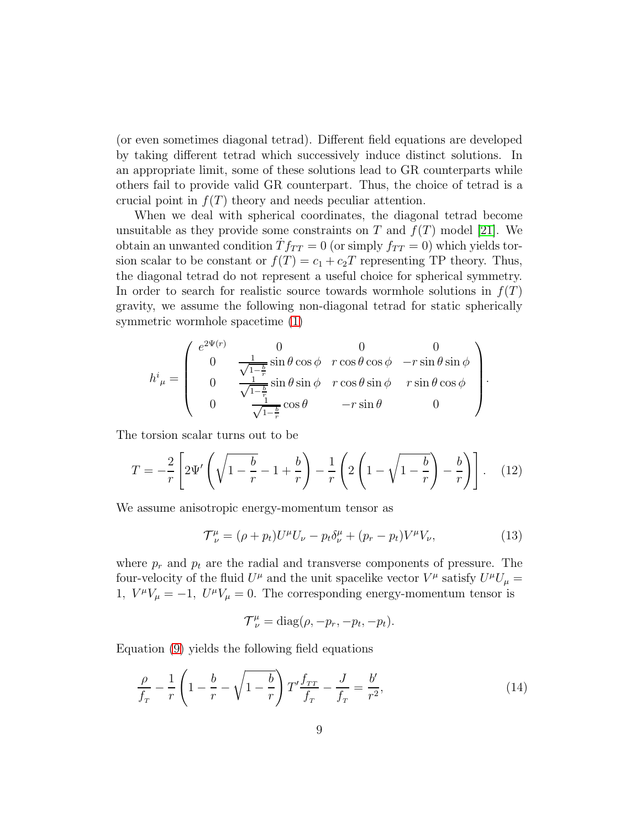(or even sometimes diagonal tetrad). Different field equations are developed by taking different tetrad which successively induce distinct solutions. In an appropriate limit, some of these solutions lead to GR counterparts while others fail to provide valid GR counterpart. Thus, the choice of tetrad is a crucial point in  $f(T)$  theory and needs peculiar attention.

When we deal with spherical coordinates, the diagonal tetrad become unsuitable as they provide some constraints on T and  $f(T)$  model [\[21\]](#page-24-3). We obtain an unwanted condition  $\dot{T}f_{TT} = 0$  (or simply  $f_{TT} = 0$ ) which yields torsion scalar to be constant or  $f(T) = c_1 + c_2T$  representing TP theory. Thus, the diagonal tetrad do not represent a useful choice for spherical symmetry. In order to search for realistic source towards wormhole solutions in  $f(T)$ gravity, we assume the following non-diagonal tetrad for static spherically symmetric wormhole spacetime [\(1\)](#page-3-0)

$$
h^{i}_{\ \mu} = \begin{pmatrix} e^{2\Psi(r)} & 0 & 0 & 0 \\ 0 & \frac{1}{\sqrt{1-\frac{b}{r}}}\sin\theta\cos\phi & r\cos\theta\cos\phi & -r\sin\theta\sin\phi \\ 0 & \frac{1}{\sqrt{1-\frac{b}{r}}}\sin\theta\sin\phi & r\cos\theta\sin\phi & r\sin\theta\cos\phi \\ 0 & \frac{1}{\sqrt{1-\frac{b}{r}}}\cos\theta & -r\sin\theta & 0 \end{pmatrix}.
$$

The torsion scalar turns out to be

$$
T = -\frac{2}{r} \left[ 2\Psi' \left( \sqrt{1 - \frac{b}{r}} - 1 + \frac{b}{r} \right) - \frac{1}{r} \left( 2 \left( 1 - \sqrt{1 - \frac{b}{r}} \right) - \frac{b}{r} \right) \right].
$$
 (12)

We assume anisotropic energy-momentum tensor as

$$
\mathcal{T}^{\mu}_{\nu} = (\rho + p_t) U^{\mu} U_{\nu} - p_t \delta^{\mu}_{\nu} + (p_r - p_t) V^{\mu} V_{\nu}, \tag{13}
$$

where  $p_r$  and  $p_t$  are the radial and transverse components of pressure. The four-velocity of the fluid  $U^{\mu}$  and the unit spacelike vector  $V^{\mu}$  satisfy  $U^{\mu}U_{\mu} =$ 1,  $V^{\mu}V_{\mu} = -1$ ,  $U^{\mu}V_{\mu} = 0$ . The corresponding energy-momentum tensor is

$$
\mathcal{T}^{\mu}_{\nu} = \text{diag}(\rho, -p_r, -p_t, -p_t).
$$

Equation [\(9\)](#page-7-0) yields the following field equations

<span id="page-8-0"></span>
$$
\frac{\rho}{f_T} - \frac{1}{r} \left( 1 - \frac{b}{r} - \sqrt{1 - \frac{b}{r}} \right) T' \frac{f_{TT}}{f_T} - \frac{J}{f_T} = \frac{b'}{r^2},\tag{14}
$$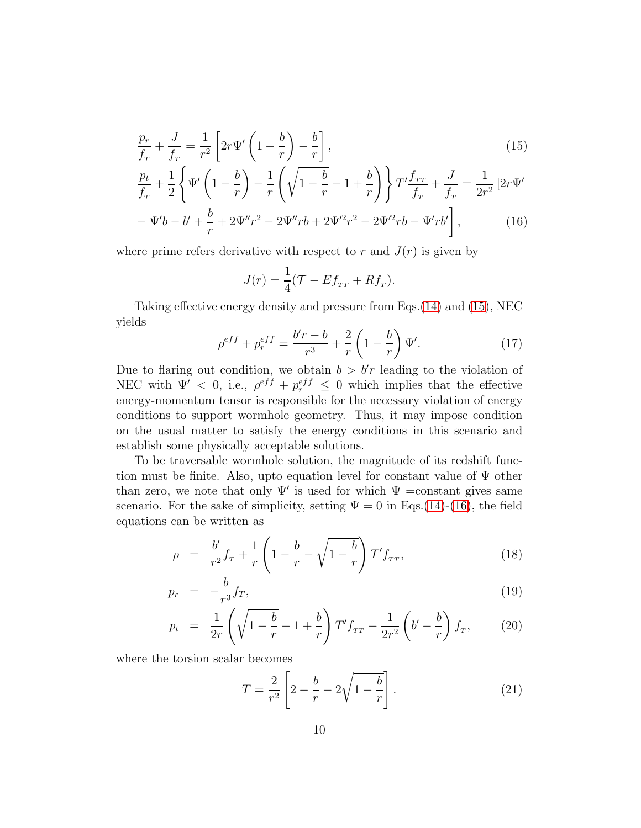$$
\frac{p_r}{f_r} + \frac{J}{f_r} = \frac{1}{r^2} \left[ 2r\Psi' \left( 1 - \frac{b}{r} \right) - \frac{b}{r} \right],\tag{15}
$$

$$
\frac{p_t}{f_T} + \frac{1}{2} \left\{ \Psi' \left( 1 - \frac{b}{r} \right) - \frac{1}{r} \left( \sqrt{1 - \frac{b}{r}} - 1 + \frac{b}{r} \right) \right\} T' \frac{f_{TT}}{f_T} + \frac{J}{f_T} = \frac{1}{2r^2} \left[ 2r\Psi' - \Psi'b - b' + \frac{b}{r} + 2\Psi''r^2 - 2\Psi''rb + 2\Psi'^2r^2 - 2\Psi'^2rb - \Psi'rb' \right],
$$
\n(16)

where prime refers derivative with respect to r and  $J(r)$  is given by

$$
J(r) = \frac{1}{4}(\mathcal{T} - Ef_{rr} + Rf_r).
$$

Taking effective energy density and pressure from Eqs.[\(14\)](#page-8-0) and [\(15\)](#page-8-0), NEC yields

<span id="page-9-0"></span>
$$
\rho^{eff} + p_r^{eff} = \frac{b'r - b}{r^3} + \frac{2}{r} \left( 1 - \frac{b}{r} \right) \Psi'. \tag{17}
$$

Due to flaring out condition, we obtain  $b > b'r$  leading to the violation of NEC with  $\Psi' < 0$ , i.e.,  $\rho^{eff} + p_r^{eff} \leq 0$  which implies that the effective energy-momentum tensor is responsible for the necessary violation of energy conditions to support wormhole geometry. Thus, it may impose condition on the usual matter to satisfy the energy conditions in this scenario and establish some physically acceptable solutions.

To be traversable wormhole solution, the magnitude of its redshift function must be finite. Also, upto equation level for constant value of  $\Psi$  other than zero, we note that only  $\Psi'$  is used for which  $\Psi$  =constant gives same scenario. For the sake of simplicity, setting  $\Psi = 0$  in Eqs.[\(14\)](#page-8-0)-[\(16\)](#page-8-0), the field equations can be written as

<span id="page-9-1"></span>
$$
\rho = \frac{b'}{r^2} f_r + \frac{1}{r} \left( 1 - \frac{b}{r} - \sqrt{1 - \frac{b}{r}} \right) T' f_{rr}, \qquad (18)
$$

$$
p_r = -\frac{b}{r^3} f_T,\tag{19}
$$

$$
p_t = \frac{1}{2r} \left( \sqrt{1 - \frac{b}{r}} - 1 + \frac{b}{r} \right) T' f_{TT} - \frac{1}{2r^2} \left( b' - \frac{b}{r} \right) f_T, \tag{20}
$$

where the torsion scalar becomes

$$
T = \frac{2}{r^2} \left[ 2 - \frac{b}{r} - 2\sqrt{1 - \frac{b}{r}} \right].
$$
 (21)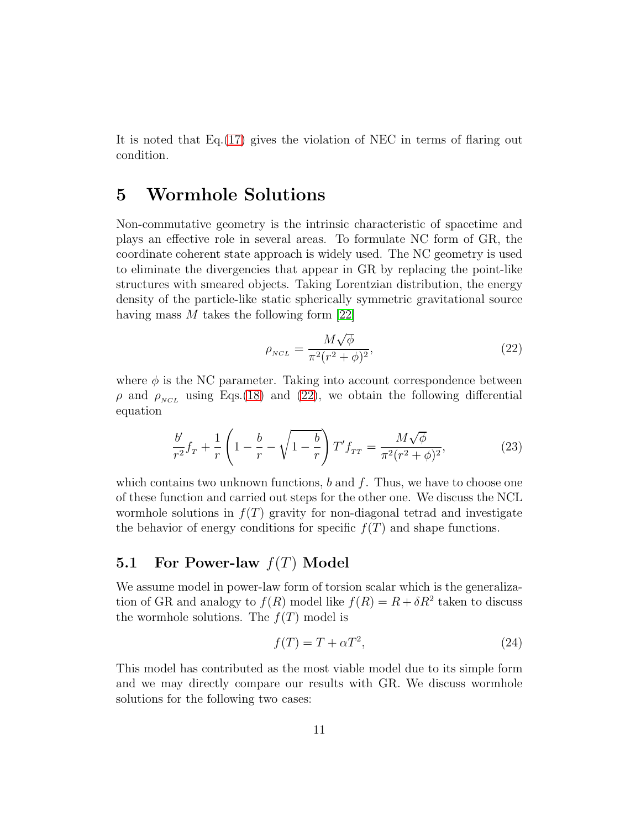It is noted that  $Eq.(17)$  $Eq.(17)$  gives the violation of NEC in terms of flaring out condition.

### 5 Wormhole Solutions

Non-commutative geometry is the intrinsic characteristic of spacetime and plays an effective role in several areas. To formulate NC form of GR, the coordinate coherent state approach is widely used. The NC geometry is used to eliminate the divergencies that appear in GR by replacing the point-like structures with smeared objects. Taking Lorentzian distribution, the energy density of the particle-like static spherically symmetric gravitational source having mass M takes the following form [\[22\]](#page-24-4)

<span id="page-10-0"></span>
$$
\rho_{NCL} = \frac{M\sqrt{\phi}}{\pi^2(r^2+\phi)^2},\tag{22}
$$

where  $\phi$  is the NC parameter. Taking into account correspondence between  $\rho$  and  $\rho_{NCL}$  using Eqs.[\(18\)](#page-9-1) and [\(22\)](#page-10-0), we obtain the following differential equation

<span id="page-10-2"></span>
$$
\frac{b'}{r^2}f_r + \frac{1}{r}\left(1 - \frac{b}{r} - \sqrt{1 - \frac{b}{r}}\right)T'f_{TT} = \frac{M\sqrt{\phi}}{\pi^2(r^2 + \phi)^2},\tag{23}
$$

which contains two unknown functions,  $b$  and  $f$ . Thus, we have to choose one of these function and carried out steps for the other one. We discuss the NCL wormhole solutions in  $f(T)$  gravity for non-diagonal tetrad and investigate the behavior of energy conditions for specific  $f(T)$  and shape functions.

#### 5.1 For Power-law  $f(T)$  Model

We assume model in power-law form of torsion scalar which is the generalization of GR and analogy to  $f(R)$  model like  $f(R) = R + \delta R^2$  taken to discuss the wormhole solutions. The  $f(T)$  model is

<span id="page-10-1"></span>
$$
f(T) = T + \alpha T^2,\tag{24}
$$

This model has contributed as the most viable model due to its simple form and we may directly compare our results with GR. We discuss wormhole solutions for the following two cases: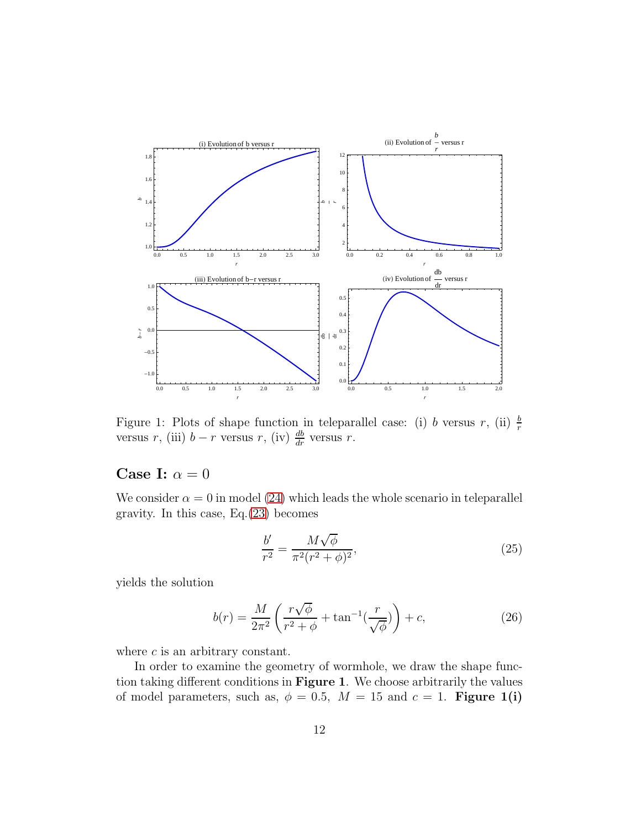

Figure 1: Plots of shape function in teleparallel case: (i) *b* versus *r*, (ii)  $\frac{b}{r}$  versus *r*, (iii)  $b - r$  versus *r*, (iv)  $\frac{db}{dr}$  versus *r*.

### Case I:  $\alpha = 0$

We consider  $\alpha = 0$  in model [\(24\)](#page-10-1) which leads the whole scenario in teleparallel gravity. In this case,  $Eq.(23)$  $Eq.(23)$  becomes

$$
\frac{b'}{r^2} = \frac{M\sqrt{\phi}}{\pi^2(r^2+\phi)^2},
$$
\n(25)

yields the solution

$$
b(r) = \frac{M}{2\pi^2} \left( \frac{r\sqrt{\phi}}{r^2 + \phi} + \tan^{-1}\left(\frac{r}{\sqrt{\phi}}\right) \right) + c,\tag{26}
$$

where  $c$  is an arbitrary constant.

In order to examine the geometry of wormhole, we draw the shape function taking different conditions in Figure 1. We choose arbitrarily the values of model parameters, such as,  $\phi = 0.5$ ,  $M = 15$  and  $c = 1$ . Figure 1(i)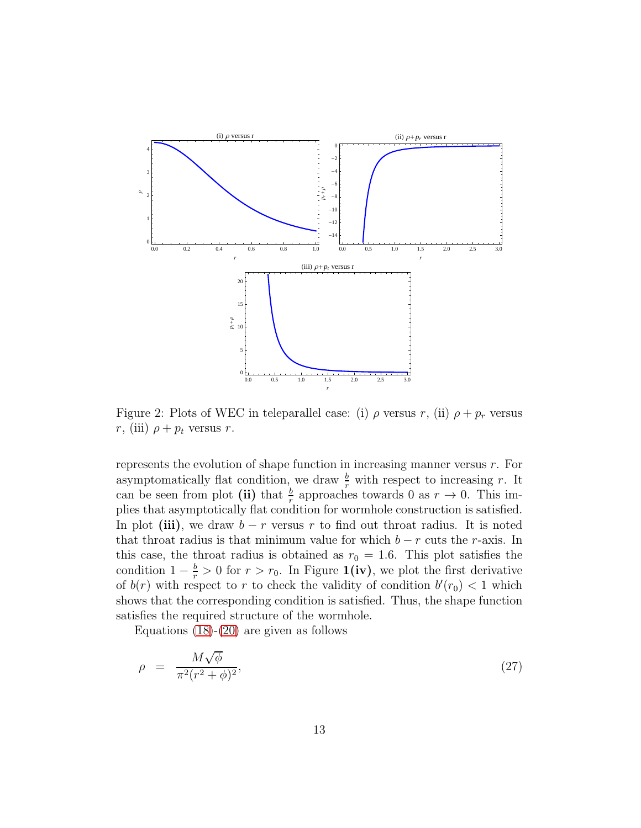

Figure 2: Plots of WEC in teleparallel case: (i)  $\rho$  versus r, (ii)  $\rho + p_r$  versus r, (iii)  $\rho + p_t$  versus r.

represents the evolution of shape function in increasing manner versus  $r$ . For asymptomatically flat condition, we draw  $\frac{b}{r}$  with respect to increasing r. It can be seen from plot (ii) that  $\frac{b}{r}$  approaches towards 0 as  $r \to 0$ . This implies that asymptotically flat condition for wormhole construction is satisfied. In plot (iii), we draw  $b - r$  versus r to find out throat radius. It is noted that throat radius is that minimum value for which  $b - r$  cuts the r-axis. In this case, the throat radius is obtained as  $r_0 = 1.6$ . This plot satisfies the condition  $1 - \frac{b}{r} > 0$  for  $r > r_0$ . In Figure **1(iv)**, we plot the first derivative of  $b(r)$  with respect to r to check the validity of condition  $b'(r_0) < 1$  which shows that the corresponding condition is satisfied. Thus, the shape function satisfies the required structure of the wormhole.

Equations  $(18)-(20)$  $(18)-(20)$  are given as follows

$$
\rho = \frac{M\sqrt{\phi}}{\pi^2(r^2+\phi)^2},\tag{27}
$$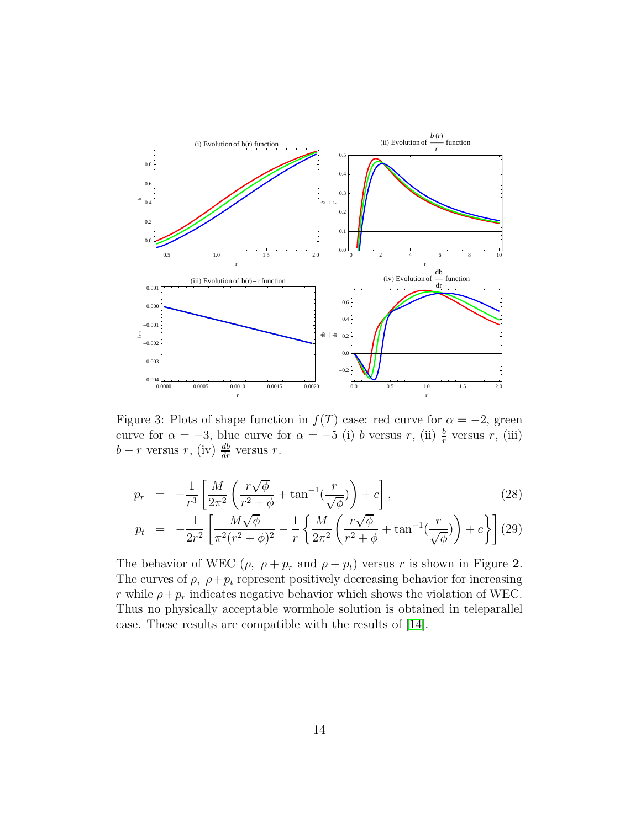

Figure 3: Plots of shape function in  $f(T)$  case: red curve for  $\alpha = -2$ , green curve for  $\alpha = -3$ , blue curve for  $\alpha = -5$  (i) b versus r, (ii)  $\frac{b}{r}$  versus r, (iii)  $b-r$  versus  $r$ , (iv)  $\frac{db}{dr}$  versus  $r$ .

$$
p_r = -\frac{1}{r^3} \left[ \frac{M}{2\pi^2} \left( \frac{r\sqrt{\phi}}{r^2 + \phi} + \tan^{-1}(\frac{r}{\sqrt{\phi}}) \right) + c \right],\tag{28}
$$

$$
p_t = -\frac{1}{2r^2} \left[ \frac{M\sqrt{\phi}}{\pi^2 (r^2 + \phi)^2} - \frac{1}{r} \left\{ \frac{M}{2\pi^2} \left( \frac{r\sqrt{\phi}}{r^2 + \phi} + \tan^{-1}(\frac{r}{\sqrt{\phi}}) \right) + c \right\} \right] (29)
$$

The behavior of WEC ( $\rho$ ,  $\rho + p_r$  and  $\rho + p_t$ ) versus r is shown in Figure 2. The curves of  $\rho$ ,  $\rho + p_t$  represent positively decreasing behavior for increasing r while  $\rho + p_r$  indicates negative behavior which shows the violation of WEC. Thus no physically acceptable wormhole solution is obtained in teleparallel case. These results are compatible with the results of [\[14\]](#page-23-9).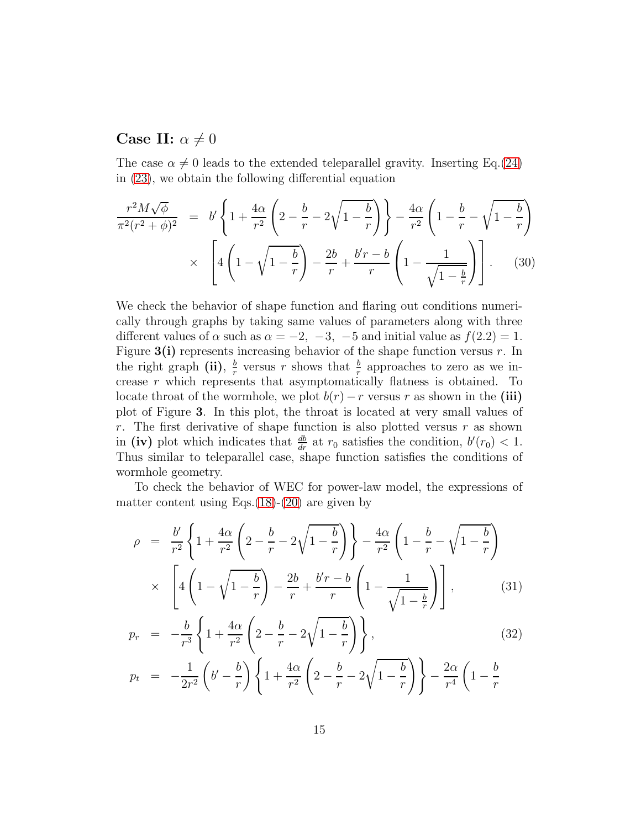#### Case II:  $\alpha \neq 0$

The case  $\alpha \neq 0$  leads to the extended teleparallel gravity. Inserting Eq.[\(24\)](#page-10-1) in [\(23\)](#page-10-2), we obtain the following differential equation

$$
\frac{r^2 M \sqrt{\phi}}{\pi^2 (r^2 + \phi)^2} = b' \left\{ 1 + \frac{4\alpha}{r^2} \left( 2 - \frac{b}{r} - 2\sqrt{1 - \frac{b}{r}} \right) \right\} - \frac{4\alpha}{r^2} \left( 1 - \frac{b}{r} - \sqrt{1 - \frac{b}{r}} \right) \times \left[ 4 \left( 1 - \sqrt{1 - \frac{b}{r}} \right) - \frac{2b}{r} + \frac{b'r - b}{r} \left( 1 - \frac{1}{\sqrt{1 - \frac{b}{r}}} \right) \right].
$$
 (30)

We check the behavior of shape function and flaring out conditions numerically through graphs by taking same values of parameters along with three different values of  $\alpha$  such as  $\alpha = -2, -3, -5$  and initial value as  $f(2.2) = 1$ . Figure  $3(i)$  represents increasing behavior of the shape function versus r. In the right graph (ii),  $\frac{b}{r}$  $\frac{b}{r}$  versus r shows that  $\frac{b}{r}$  approaches to zero as we increase r which represents that asymptomatically flatness is obtained. To locate throat of the wormhole, we plot  $b(r) - r$  versus r as shown in the (iii) plot of Figure 3. In this plot, the throat is located at very small values of r. The first derivative of shape function is also plotted versus  $r$  as shown in (iv) plot which indicates that  $\frac{db}{dr}$  at  $r_0$  satisfies the condition,  $b'(r_0) < 1$ . Thus similar to teleparallel case, shape function satisfies the conditions of wormhole geometry.

To check the behavior of WEC for power-law model, the expressions of matter content using Eqs. $(18)-(20)$  $(18)-(20)$  $(18)-(20)$  are given by

$$
\rho = \frac{b'}{r^2} \left\{ 1 + \frac{4\alpha}{r^2} \left( 2 - \frac{b}{r} - 2\sqrt{1 - \frac{b}{r}} \right) \right\} - \frac{4\alpha}{r^2} \left( 1 - \frac{b}{r} - \sqrt{1 - \frac{b}{r}} \right) \times \left[ 4 \left( 1 - \sqrt{1 - \frac{b}{r}} \right) - \frac{2b}{r} + \frac{b'r - b}{r} \left( 1 - \frac{1}{\sqrt{1 - \frac{b}{r}}} \right) \right],
$$
(31)

$$
p_r = -\frac{b}{r^3} \left\{ 1 + \frac{4\alpha}{r^2} \left( 2 - \frac{b}{r} - 2\sqrt{1 - \frac{b}{r}} \right) \right\},\tag{32}
$$

$$
p_t = -\frac{1}{2r^2} \left( b' - \frac{b}{r} \right) \left\{ 1 + \frac{4\alpha}{r^2} \left( 2 - \frac{b}{r} - 2\sqrt{1 - \frac{b}{r}} \right) \right\} - \frac{2\alpha}{r^4} \left( 1 - \frac{b}{r} \right)
$$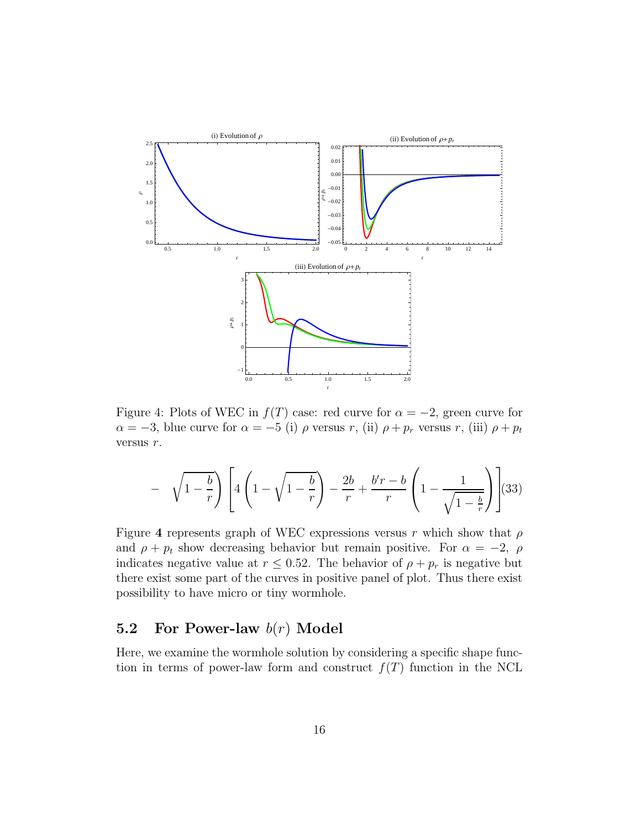

Figure 4: Plots of WEC in  $f(T)$  case: red curve for  $\alpha = -2$ , green curve for  $\alpha = -3$ , blue curve for  $\alpha = -5$  (i)  $\rho$  versus r, (ii)  $\rho + p_r$  versus r, (iii)  $\rho + p_t$ versus r.

$$
- \sqrt{1 - \frac{b}{r}} \left[ 4 \left( 1 - \sqrt{1 - \frac{b}{r}} \right) - \frac{2b}{r} + \frac{b'r - b}{r} \left( 1 - \frac{1}{\sqrt{1 - \frac{b}{r}}} \right) \right] (33)
$$

Figure 4 represents graph of WEC expressions versus r which show that  $\rho$ and  $\rho + p_t$  show decreasing behavior but remain positive. For  $\alpha = -2$ ,  $\rho$ indicates negative value at  $r \leq 0.52$ . The behavior of  $\rho + p_r$  is negative but there exist some part of the curves in positive panel of plot. Thus there exist possibility to have micro or tiny wormhole.

#### 5.2 For Power-law  $b(r)$  Model

Here, we examine the wormhole solution by considering a specific shape function in terms of power-law form and construct  $f(T)$  function in the NCL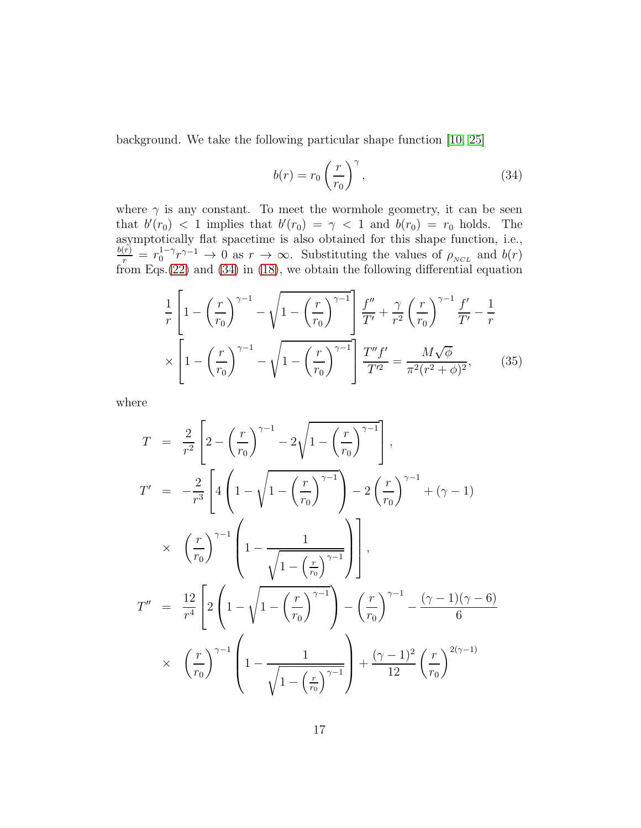background. We take the following particular shape function [\[10,](#page-23-5) [25\]](#page-24-5)

<span id="page-16-0"></span>
$$
b(r) = r_0 \left(\frac{r}{r_0}\right)^{\gamma},\tag{34}
$$

where  $\gamma$  is any constant. To meet the wormhole geometry, it can be seen that  $b'(r_0) < 1$  implies that  $b'(r_0) = \gamma < 1$  and  $b(r_0) = r_0$  holds. The asymptotically flat spacetime is also obtained for this shape function, i.e.,  $\frac{b(r)}{r} = r_0^{1-\gamma} r^{\gamma-1} \to 0$  as  $r \to \infty$ . Substituting the values of  $\rho_{\scriptscriptstyle NCL}$  and  $b(r)$  $v_0^{1-\gamma}r^{\gamma-1} \to 0$  as  $r \to \infty$ . Substituting the values of  $\rho_{NCL}$  and  $b(r)$ from Eqs.[\(22\)](#page-10-0) and [\(34\)](#page-16-0) in [\(18\)](#page-9-1), we obtain the following differential equation

$$
\frac{1}{r} \left[ 1 - \left(\frac{r}{r_0}\right)^{\gamma - 1} - \sqrt{1 - \left(\frac{r}{r_0}\right)^{\gamma - 1}} \right] \frac{f''}{T'} + \frac{\gamma}{r^2} \left(\frac{r}{r_0}\right)^{\gamma - 1} \frac{f'}{T'} - \frac{1}{r}
$$

$$
\times \left[ 1 - \left(\frac{r}{r_0}\right)^{\gamma - 1} - \sqrt{1 - \left(\frac{r}{r_0}\right)^{\gamma - 1}} \right] \frac{T'' f'}{T'^2} = \frac{M\sqrt{\phi}}{\pi^2 (r^2 + \phi)^2},\tag{35}
$$

where

$$
T = \frac{2}{r^2} \left[ 2 - \left(\frac{r}{r_0}\right)^{\gamma - 1} - 2\sqrt{1 - \left(\frac{r}{r_0}\right)^{\gamma - 1}} \right],
$$
  
\n
$$
T' = -\frac{2}{r^3} \left[ 4 \left( 1 - \sqrt{1 - \left(\frac{r}{r_0}\right)^{\gamma - 1}} \right) - 2 \left(\frac{r}{r_0}\right)^{\gamma - 1} + (\gamma - 1)
$$
  
\n
$$
\times \left(\frac{r}{r_0}\right)^{\gamma - 1} \left( 1 - \frac{1}{\sqrt{1 - \left(\frac{r}{r_0}\right)^{\gamma - 1}}} \right) \right],
$$
  
\n
$$
T'' = \frac{12}{r^4} \left[ 2 \left( 1 - \sqrt{1 - \left(\frac{r}{r_0}\right)^{\gamma - 1}} \right) - \left(\frac{r}{r_0}\right)^{\gamma - 1} - \frac{(\gamma - 1)(\gamma - 6)}{6}
$$
  
\n
$$
\times \left(\frac{r}{r_0}\right)^{\gamma - 1} \left( 1 - \frac{1}{\sqrt{1 - \left(\frac{r}{r_0}\right)^{\gamma - 1}}} \right) + \frac{(\gamma - 1)^2}{12} \left(\frac{r}{r_0}\right)^{2(\gamma - 1)}
$$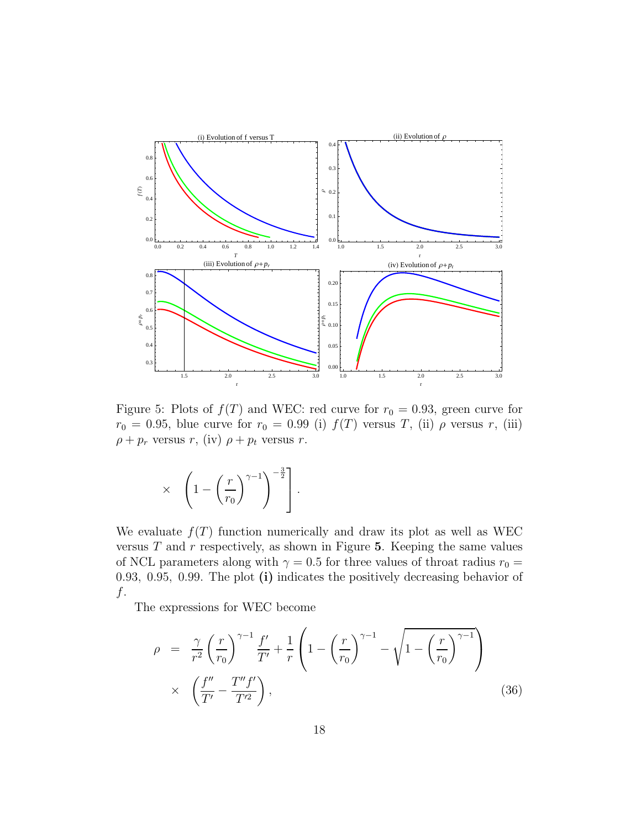

Figure 5: Plots of  $f(T)$  and WEC: red curve for  $r_0 = 0.93$ , green curve for  $r_0 = 0.95$ , blue curve for  $r_0 = 0.99$  (i)  $f(T)$  versus T, (ii)  $\rho$  versus r, (iii)  $\rho + p_r$  versus r, (iv)  $\rho + p_t$  versus r.

$$
\times \left(1 - \left(\frac{r}{r_0}\right)^{\gamma - 1}\right)^{-\frac{3}{2}}.
$$

We evaluate  $f(T)$  function numerically and draw its plot as well as WEC versus  $T$  and  $r$  respectively, as shown in Figure 5. Keeping the same values of NCL parameters along with  $\gamma = 0.5$  for three values of throat radius  $r_0 =$ 0.93, 0.95, 0.99. The plot (i) indicates the positively decreasing behavior of  $f$ .

The expressions for WEC become

$$
\rho = \frac{\gamma}{r^2} \left(\frac{r}{r_0}\right)^{\gamma - 1} \frac{f'}{T'} + \frac{1}{r} \left(1 - \left(\frac{r}{r_0}\right)^{\gamma - 1} - \sqrt{1 - \left(\frac{r}{r_0}\right)^{\gamma - 1}}\right)
$$

$$
\times \left(\frac{f''}{T'} - \frac{T''f'}{T'^2}\right),\tag{36}
$$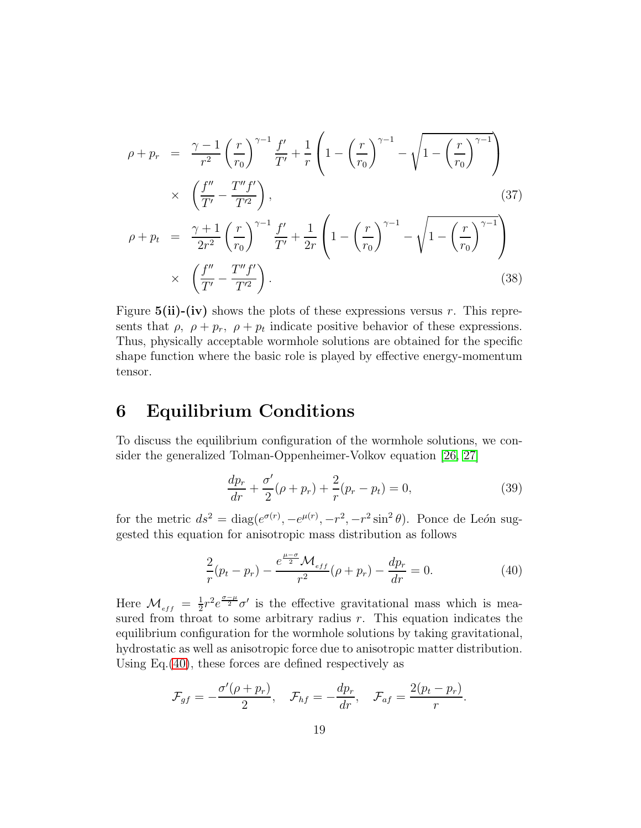$$
\rho + p_r = \frac{\gamma - 1}{r^2} \left(\frac{r}{r_0}\right)^{\gamma - 1} \frac{f'}{T'} + \frac{1}{r} \left(1 - \left(\frac{r}{r_0}\right)^{\gamma - 1} - \sqrt{1 - \left(\frac{r}{r_0}\right)^{\gamma - 1}}\right) \times \left(\frac{f''}{T'} - \frac{T''f'}{T'^2}\right),
$$
\n
$$
\rho + p_t = \frac{\gamma + 1}{2r^2} \left(\frac{r}{r_0}\right)^{\gamma - 1} \frac{f'}{T'} + \frac{1}{2r} \left(1 - \left(\frac{r}{r_0}\right)^{\gamma - 1} - \sqrt{1 - \left(\frac{r}{r_0}\right)^{\gamma - 1}}\right) \times \left(\frac{f''}{T'} - \frac{T''f'}{T'^2}\right).
$$
\n(38)

Figure  $5(ii)-(iv)$  shows the plots of these expressions versus r. This represents that  $\rho$ ,  $\rho + p_r$ ,  $\rho + p_t$  indicate positive behavior of these expressions. Thus, physically acceptable wormhole solutions are obtained for the specific shape function where the basic role is played by effective energy-momentum tensor.

### 6 Equilibrium Conditions

To discuss the equilibrium configuration of the wormhole solutions, we consider the generalized Tolman-Oppenheimer-Volkov equation [\[26,](#page-24-6) [27\]](#page-24-7)

$$
\frac{dp_r}{dr} + \frac{\sigma'}{2}(\rho + p_r) + \frac{2}{r}(p_r - p_t) = 0,
$$
\n(39)

for the metric  $ds^2 = \text{diag}(e^{\sigma(r)}, -e^{\mu(r)}, -r^2, -r^2\sin^2\theta)$ . Ponce de León suggested this equation for anisotropic mass distribution as follows

<span id="page-18-0"></span>
$$
\frac{2}{r}(p_t - p_r) - \frac{e^{\frac{\mu - \sigma}{2}} \mathcal{M}_{eff}}{r^2} (\rho + p_r) - \frac{dp_r}{dr} = 0.
$$
 (40)

Here  $\mathcal{M}_{_{eff}} = \frac{1}{2}$  $\frac{1}{2}r^2e^{\frac{\sigma-\mu}{2}}\sigma'$  is the effective gravitational mass which is measured from throat to some arbitrary radius  $r$ . This equation indicates the equilibrium configuration for the wormhole solutions by taking gravitational, hydrostatic as well as anisotropic force due to anisotropic matter distribution. Using Eq.[\(40\)](#page-18-0), these forces are defined respectively as

$$
\mathcal{F}_{gf}=-\frac{\sigma'(\rho+p_r)}{2},\quad \mathcal{F}_{hf}=-\frac{dp_r}{dr},\quad \mathcal{F}_{af}=\frac{2(p_t-p_r)}{r}.
$$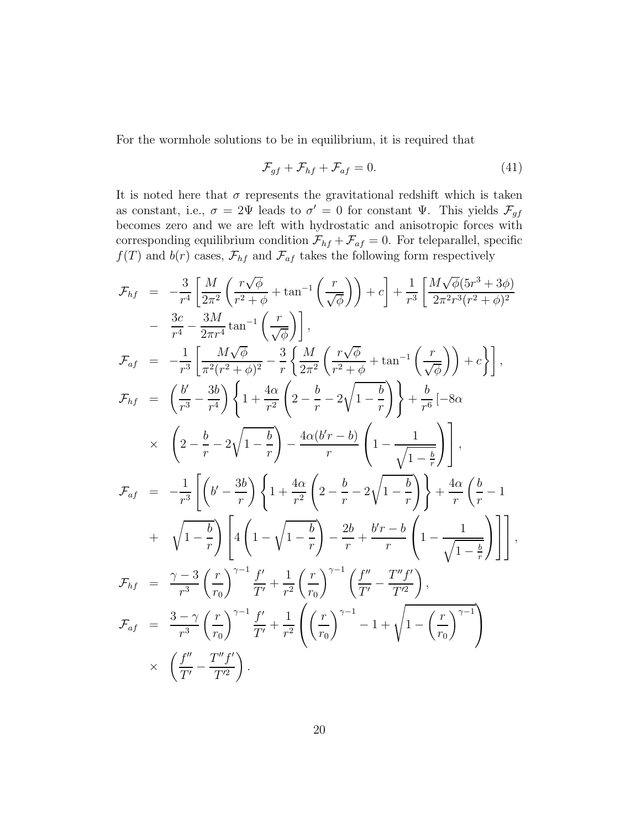For the wormhole solutions to be in equilibrium, it is required that

$$
\mathcal{F}_{gf} + \mathcal{F}_{hf} + \mathcal{F}_{af} = 0. \tag{41}
$$

It is noted here that  $\sigma$  represents the gravitational redshift which is taken as constant, i.e.,  $\sigma = 2\Psi$  leads to  $\sigma' = 0$  for constant  $\Psi$ . This yields  $\mathcal{F}_{gf}$ becomes zero and we are left with hydrostatic and anisotropic forces with corresponding equilibrium condition  $\mathcal{F}_{hf} + \mathcal{F}_{af} = 0$ . For teleparallel, specific  $f(T)$  and  $b(r)$  cases,  $\mathcal{F}_{hf}$  and  $\mathcal{F}_{af}$  takes the following form respectively

$$
\mathcal{F}_{hf} = -\frac{3}{r^4} \left[ \frac{M}{2\pi^2} \left( \frac{r\sqrt{\phi}}{r^2 + \phi} + \tan^{-1} \left( \frac{r}{\sqrt{\phi}} \right) \right) + c \right] + \frac{1}{r^3} \left[ \frac{M\sqrt{\phi}(5r^3 + 3\phi)}{2\pi^2r^3(r^2 + \phi)^2} \right]
$$
  
\n
$$
- \frac{3c}{r^4} - \frac{3M}{2\pi r^4} \tan^{-1} \left( \frac{r}{\sqrt{\phi}} \right) \right],
$$
  
\n
$$
\mathcal{F}_{af} = -\frac{1}{r^3} \left[ \frac{M\sqrt{\phi}}{\pi^2(r^2 + \phi)^2} - \frac{3}{r} \left\{ \frac{M}{2\pi^2} \left( \frac{r\sqrt{\phi}}{r^2 + \phi} + \tan^{-1} \left( \frac{r}{\sqrt{\phi}} \right) \right) + c \right\} \right],
$$
  
\n
$$
\mathcal{F}_{hf} = \left( \frac{b}{r^3} - \frac{3b}{r^4} \right) \left\{ 1 + \frac{4\alpha}{r^2} \left( 2 - \frac{b}{r} - 2\sqrt{1 - \frac{b}{r}} \right) \right\} + \frac{b}{r^6} \left[ -8\alpha \right.
$$
  
\n
$$
\times \left( 2 - \frac{b}{r} - 2\sqrt{1 - \frac{b}{r}} \right) - \frac{4\alpha(b'r - b)}{r} \left( 1 - \frac{1}{\sqrt{1 - \frac{b}{r}}} \right) \right],
$$
  
\n
$$
\mathcal{F}_{af} = -\frac{1}{r^3} \left[ \left( b' - \frac{3b}{r} \right) \left\{ 1 + \frac{4\alpha}{r^2} \left( 2 - \frac{b}{r} - 2\sqrt{1 - \frac{b}{r}} \right) \right\} + \frac{4\alpha}{r} \left( \frac{b}{r} - 1 \right) + \sqrt{1 - \frac{b}{r}} \right] \left[ 4 \left( 1 - \sqrt{1 - \frac{b}{r}} \right) - \frac{2b}{r} + \frac{b'r - b}{r} \left( 1 - \frac{1}{\sqrt{1 - \frac{b}{r}}} \right) \right],
$$
  
\n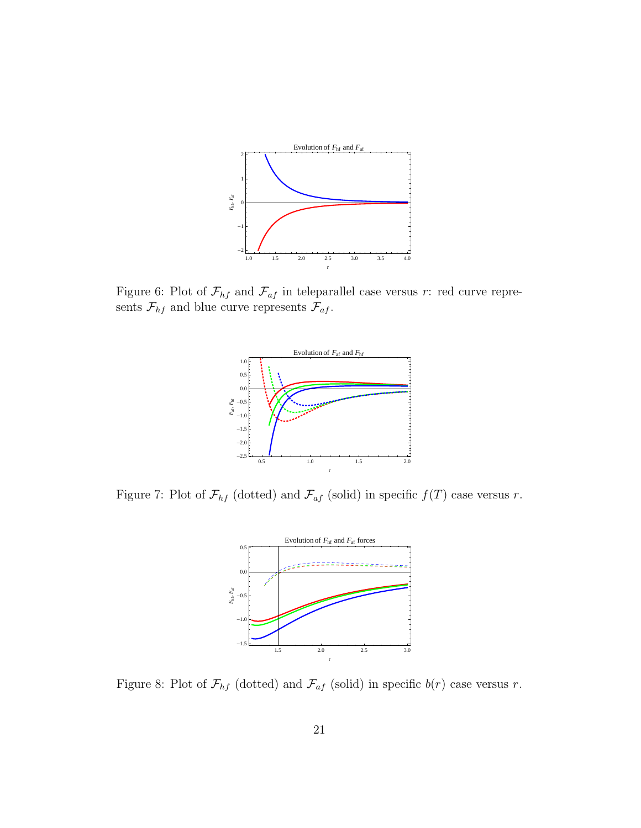

Figure 6: Plot of  $\mathcal{F}_{hf}$  and  $\mathcal{F}_{af}$  in teleparallel case versus r: red curve represents  $\mathcal{F}_{hf}$  and blue curve represents  $\mathcal{F}_{af}$ .



Figure 7: Plot of  $\mathcal{F}_{hf}$  (dotted) and  $\mathcal{F}_{af}$  (solid) in specific  $f(T)$  case versus r.



Figure 8: Plot of  $\mathcal{F}_{hf}$  (dotted) and  $\mathcal{F}_{af}$  (solid) in specific  $b(r)$  case versus r.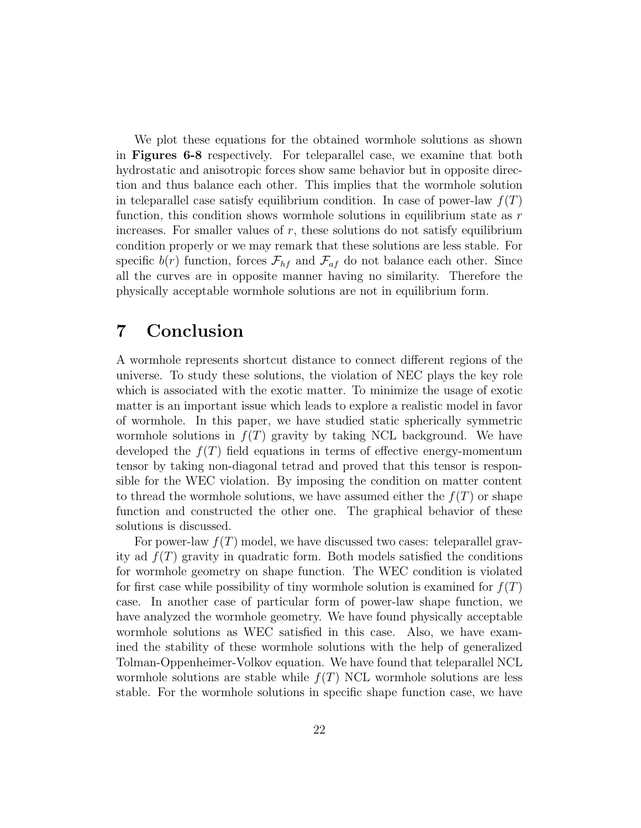We plot these equations for the obtained wormhole solutions as shown in Figures 6-8 respectively. For teleparallel case, we examine that both hydrostatic and anisotropic forces show same behavior but in opposite direction and thus balance each other. This implies that the wormhole solution in teleparallel case satisfy equilibrium condition. In case of power-law  $f(T)$ function, this condition shows wormhole solutions in equilibrium state as  $r$ increases. For smaller values of  $r$ , these solutions do not satisfy equilibrium condition properly or we may remark that these solutions are less stable. For specific  $b(r)$  function, forces  $\mathcal{F}_{hf}$  and  $\mathcal{F}_{af}$  do not balance each other. Since all the curves are in opposite manner having no similarity. Therefore the physically acceptable wormhole solutions are not in equilibrium form.

### 7 Conclusion

A wormhole represents shortcut distance to connect different regions of the universe. To study these solutions, the violation of NEC plays the key role which is associated with the exotic matter. To minimize the usage of exotic matter is an important issue which leads to explore a realistic model in favor of wormhole. In this paper, we have studied static spherically symmetric wormhole solutions in  $f(T)$  gravity by taking NCL background. We have developed the  $f(T)$  field equations in terms of effective energy-momentum tensor by taking non-diagonal tetrad and proved that this tensor is responsible for the WEC violation. By imposing the condition on matter content to thread the wormhole solutions, we have assumed either the  $f(T)$  or shape function and constructed the other one. The graphical behavior of these solutions is discussed.

For power-law  $f(T)$  model, we have discussed two cases: teleparallel gravity ad  $f(T)$  gravity in quadratic form. Both models satisfied the conditions for wormhole geometry on shape function. The WEC condition is violated for first case while possibility of tiny wormhole solution is examined for  $f(T)$ case. In another case of particular form of power-law shape function, we have analyzed the wormhole geometry. We have found physically acceptable wormhole solutions as WEC satisfied in this case. Also, we have examined the stability of these wormhole solutions with the help of generalized Tolman-Oppenheimer-Volkov equation. We have found that teleparallel NCL wormhole solutions are stable while  $f(T)$  NCL wormhole solutions are less stable. For the wormhole solutions in specific shape function case, we have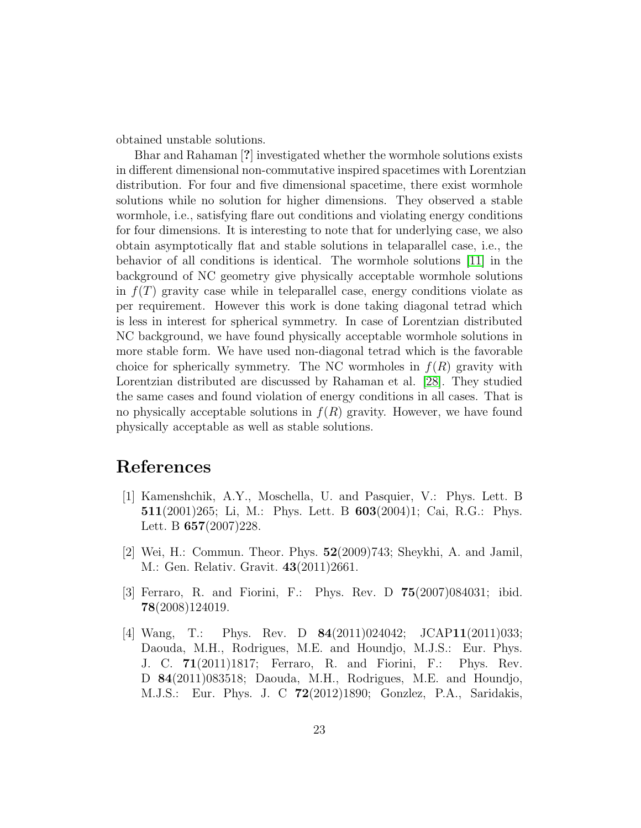obtained unstable solutions.

Bhar and Rahaman [?] investigated whether the wormhole solutions exists in different dimensional non-commutative inspired spacetimes with Lorentzian distribution. For four and five dimensional spacetime, there exist wormhole solutions while no solution for higher dimensions. They observed a stable wormhole, i.e., satisfying flare out conditions and violating energy conditions for four dimensions. It is interesting to note that for underlying case, we also obtain asymptotically flat and stable solutions in telaparallel case, i.e., the behavior of all conditions is identical. The wormhole solutions [\[11\]](#page-23-6) in the background of NC geometry give physically acceptable wormhole solutions in  $f(T)$  gravity case while in teleparallel case, energy conditions violate as per requirement. However this work is done taking diagonal tetrad which is less in interest for spherical symmetry. In case of Lorentzian distributed NC background, we have found physically acceptable wormhole solutions in more stable form. We have used non-diagonal tetrad which is the favorable choice for spherically symmetry. The NC wormholes in  $f(R)$  gravity with Lorentzian distributed are discussed by Rahaman et al. [\[28\]](#page-24-8). They studied the same cases and found violation of energy conditions in all cases. That is no physically acceptable solutions in  $f(R)$  gravity. However, we have found physically acceptable as well as stable solutions.

### <span id="page-22-0"></span>References

- [1] Kamenshchik, A.Y., Moschella, U. and Pasquier, V.: Phys. Lett. B 511(2001)265; Li, M.: Phys. Lett. B 603(2004)1; Cai, R.G.: Phys. Lett. B 657(2007)228.
- <span id="page-22-1"></span>[2] Wei, H.: Commun. Theor. Phys. 52(2009)743; Sheykhi, A. and Jamil, M.: Gen. Relativ. Gravit. 43(2011)2661.
- <span id="page-22-2"></span>[3] Ferraro, R. and Fiorini, F.: Phys. Rev. D 75(2007)084031; ibid. 78(2008)124019.
- <span id="page-22-3"></span>[4] Wang, T.: Phys. Rev. D 84(2011)024042; JCAP11(2011)033; Daouda, M.H., Rodrigues, M.E. and Houndjo, M.J.S.: Eur. Phys. J. C. 71(2011)1817; Ferraro, R. and Fiorini, F.: Phys. Rev. D 84(2011)083518; Daouda, M.H., Rodrigues, M.E. and Houndjo, M.J.S.: Eur. Phys. J. C 72(2012)1890; Gonzlez, P.A., Saridakis,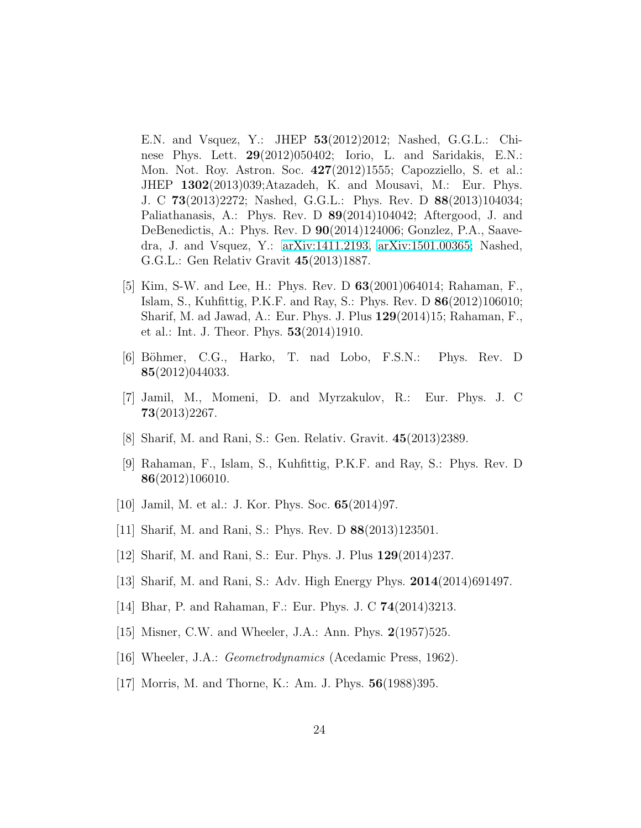E.N. and Vsquez, Y.: JHEP 53(2012)2012; Nashed, G.G.L.: Chinese Phys. Lett. 29(2012)050402; Iorio, L. and Saridakis, E.N.: Mon. Not. Roy. Astron. Soc. 427(2012)1555; Capozziello, S. et al.: JHEP 1302(2013)039;Atazadeh, K. and Mousavi, M.: Eur. Phys. J. C 73(2013)2272; Nashed, G.G.L.: Phys. Rev. D 88(2013)104034; Paliathanasis, A.: Phys. Rev. D 89(2014)104042; Aftergood, J. and DeBenedictis, A.: Phys. Rev. D 90(2014)124006; Gonzlez, P.A., Saavedra, J. and Vsquez, Y.: [arXiv:1411.2193,](http://arxiv.org/abs/1411.2193) [arXiv:1501.00365;](http://arxiv.org/abs/1501.00365) Nashed, G.G.L.: Gen Relativ Gravit 45(2013)1887.

- <span id="page-23-0"></span>[5] Kim, S-W. and Lee, H.: Phys. Rev. D 63(2001)064014; Rahaman, F., Islam, S., Kuhfittig, P.K.F. and Ray, S.: Phys. Rev. D 86(2012)106010; Sharif, M. ad Jawad, A.: Eur. Phys. J. Plus 129(2014)15; Rahaman, F., et al.: Int. J. Theor. Phys. 53(2014)1910.
- <span id="page-23-1"></span>[6] B¨ohmer, C.G., Harko, T. nad Lobo, F.S.N.: Phys. Rev. D 85(2012)044033.
- <span id="page-23-2"></span>[7] Jamil, M., Momeni, D. and Myrzakulov, R.: Eur. Phys. J. C 73(2013)2267.
- <span id="page-23-4"></span><span id="page-23-3"></span>[8] Sharif, M. and Rani, S.: Gen. Relativ. Gravit. 45(2013)2389.
- [9] Rahaman, F., Islam, S., Kuhfittig, P.K.F. and Ray, S.: Phys. Rev. D 86(2012)106010.
- <span id="page-23-6"></span><span id="page-23-5"></span>[10] Jamil, M. et al.: J. Kor. Phys. Soc. 65(2014)97.
- <span id="page-23-7"></span>[11] Sharif, M. and Rani, S.: Phys. Rev. D 88(2013)123501.
- <span id="page-23-8"></span>[12] Sharif, M. and Rani, S.: Eur. Phys. J. Plus 129(2014)237.
- <span id="page-23-9"></span>[13] Sharif, M. and Rani, S.: Adv. High Energy Phys. 2014(2014)691497.
- <span id="page-23-10"></span>[14] Bhar, P. and Rahaman, F.: Eur. Phys. J. C 74(2014)3213.
- <span id="page-23-11"></span>[15] Misner, C.W. and Wheeler, J.A.: Ann. Phys. 2(1957)525.
- <span id="page-23-12"></span>[16] Wheeler, J.A.: *Geometrodynamics* (Acedamic Press, 1962).
- [17] Morris, M. and Thorne, K.: Am. J. Phys. 56(1988)395.